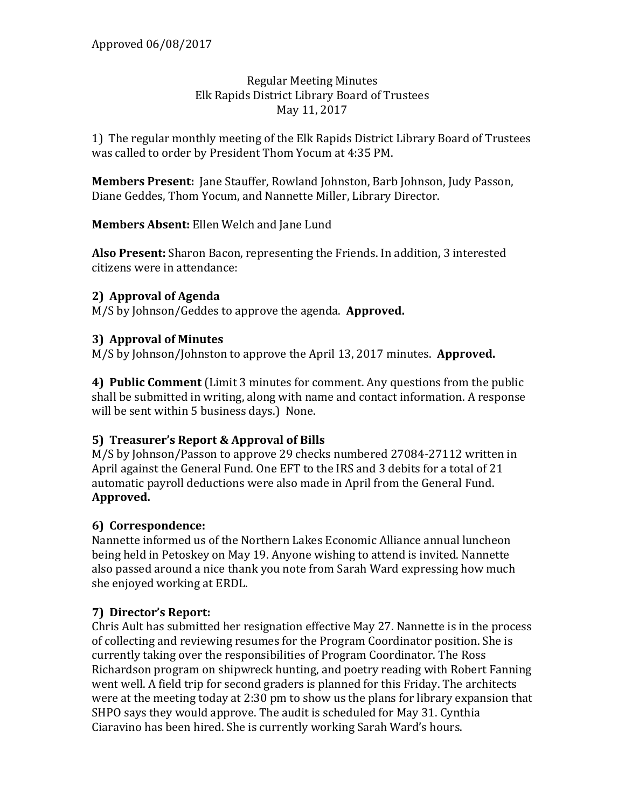#### Regular Meeting Minutes Elk Rapids District Library Board of Trustees May 11, 2017

1) The regular monthly meeting of the Elk Rapids District Library Board of Trustees was called to order by President Thom Yocum at 4:35 PM.

**Members Present:** Jane Stauffer, Rowland Johnston, Barb Johnson, Judy Passon, Diane Geddes, Thom Yocum, and Nannette Miller, Library Director.

**Members Absent:** Ellen Welch and Jane Lund

**Also Present:** Sharon Bacon, representing the Friends. In addition, 3 interested citizens were in attendance:

### **2) Approval of Agenda**

M/S by Johnson/Geddes to approve the agenda. **Approved.**

### **3) Approval of Minutes**

M/S by Johnson/Johnston to approve the April 13, 2017 minutes. **Approved.**

**4) Public Comment** (Limit 3 minutes for comment. Any questions from the public shall be submitted in writing, along with name and contact information. A response will be sent within 5 business days.) None.

### **5) Treasurer's Report & Approval of Bills**

M/S by Johnson/Passon to approve 29 checks numbered 27084-27112 written in April against the General Fund. One EFT to the IRS and 3 debits for a total of 21 automatic payroll deductions were also made in April from the General Fund. **Approved.**

### **6) Correspondence:**

Nannette informed us of the Northern Lakes Economic Alliance annual luncheon being held in Petoskey on May 19. Anyone wishing to attend is invited. Nannette also passed around a nice thank you note from Sarah Ward expressing how much she enjoyed working at ERDL.

## **7) Director's Report:**

Chris Ault has submitted her resignation effective May 27. Nannette is in the process of collecting and reviewing resumes for the Program Coordinator position. She is currently taking over the responsibilities of Program Coordinator. The Ross Richardson program on shipwreck hunting, and poetry reading with Robert Fanning went well. A field trip for second graders is planned for this Friday. The architects were at the meeting today at 2:30 pm to show us the plans for library expansion that SHPO says they would approve. The audit is scheduled for May 31. Cynthia Ciaravino has been hired. She is currently working Sarah Ward's hours.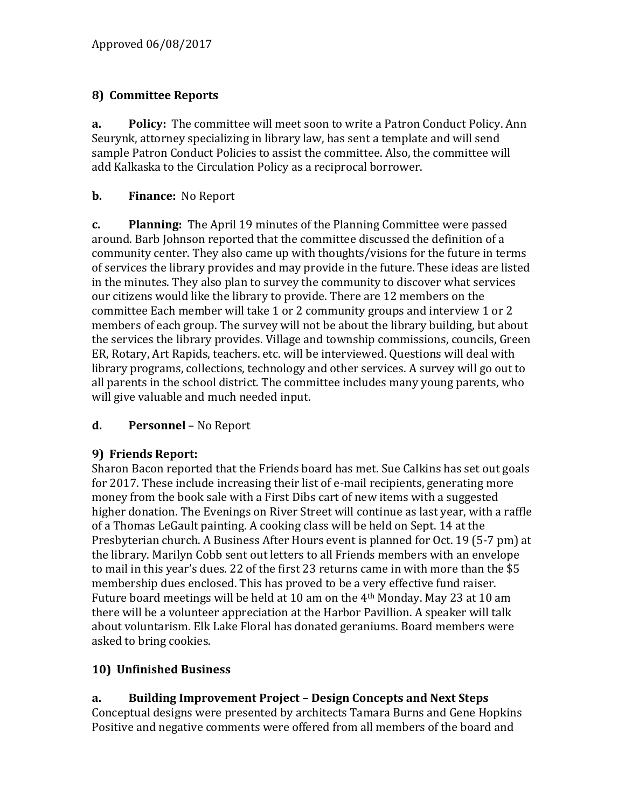# **8) Committee Reports**

**a. Policy:** The committee will meet soon to write a Patron Conduct Policy. Ann Seurynk, attorney specializing in library law, has sent a template and will send sample Patron Conduct Policies to assist the committee. Also, the committee will add Kalkaska to the Circulation Policy as a reciprocal borrower.

### **b. Finance:** No Report

**c. Planning:** The April 19 minutes of the Planning Committee were passed around. Barb Johnson reported that the committee discussed the definition of a community center. They also came up with thoughts/visions for the future in terms of services the library provides and may provide in the future. These ideas are listed in the minutes. They also plan to survey the community to discover what services our citizens would like the library to provide. There are 12 members on the committee Each member will take 1 or 2 community groups and interview 1 or 2 members of each group. The survey will not be about the library building, but about the services the library provides. Village and township commissions, councils, Green ER, Rotary, Art Rapids, teachers. etc. will be interviewed. Questions will deal with library programs, collections, technology and other services. A survey will go out to all parents in the school district. The committee includes many young parents, who will give valuable and much needed input.

### **d. Personnel** – No Report

## **9) Friends Report:**

Sharon Bacon reported that the Friends board has met. Sue Calkins has set out goals for 2017. These include increasing their list of e-mail recipients, generating more money from the book sale with a First Dibs cart of new items with a suggested higher donation. The Evenings on River Street will continue as last year, with a raffle of a Thomas LeGault painting. A cooking class will be held on Sept. 14 at the Presbyterian church. A Business After Hours event is planned for Oct. 19 (5-7 pm) at the library. Marilyn Cobb sent out letters to all Friends members with an envelope to mail in this year's dues. 22 of the first 23 returns came in with more than the \$5 membership dues enclosed. This has proved to be a very effective fund raiser. Future board meetings will be held at 10 am on the 4th Monday. May 23 at 10 am there will be a volunteer appreciation at the Harbor Pavillion. A speaker will talk about voluntarism. Elk Lake Floral has donated geraniums. Board members were asked to bring cookies.

## **10) Unfinished Business**

## **a. Building Improvement Project – Design Concepts and Next Steps**

Conceptual designs were presented by architects Tamara Burns and Gene Hopkins Positive and negative comments were offered from all members of the board and